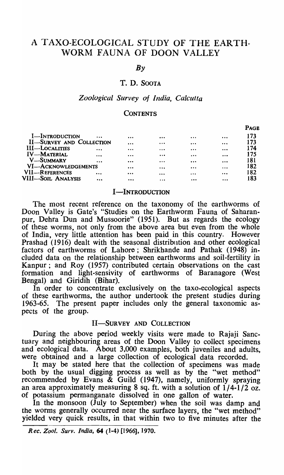# A TAXO-ECOLOGICAL STUDY OF THE EARTH-WORM FAUNA OF DOON VALLEY

*By* 

# T. D. SOOTA

#### *Zoological Survey of India, Calcutta*

#### **CONTENTS**

|                                 |          |          |          |          |          | <b>PAGE</b> |
|---------------------------------|----------|----------|----------|----------|----------|-------------|
| I-INTRODUCTION                  | $\cdots$ |          |          | $\cdots$ | $\cdots$ | 173         |
| <b>II-SURVEY AND COLLECTION</b> | $\cdots$ | $\cdots$ | $\cdots$ | $\cdots$ | 173      |             |
| <b>III-LOCALITIES</b>           |          |          | $\cdots$ | $\cdots$ | $\cdots$ | 174         |
| <b>IV-MATERIAL</b>              |          | $\cdots$ |          |          |          | 175         |
| <b>V-SUMMARY</b>                | $\cdots$ | $\cdots$ | $\cdots$ |          |          | 181         |
| VI-ACKNOWLEDGEMENTS             |          | $\cdots$ | $\cdots$ | $\cdots$ | 182      |             |
| VII-REFERENCES                  | $\cdots$ | $\cdots$ | $\cdots$ | $\cdots$ | $\cdots$ | 182         |
| VIII—Soil Analysis              | $\cdots$ |          | $\cdots$ |          | $\cdots$ | 183         |
|                                 |          |          |          |          |          |             |

### I-INTRODUCTION

The most recent reference on the taxonomy of the earthworms of Doon Valley is Gate's "Studies on the Earthworm Fauna of Saharanpur, Dehra Dun and Mussoorie" (1951). But as regards the ecology of these worms, not only from the above area but even from the whole of India, very little attention has been paid in this country. However Prashad (1916) dealt with the seasonal distribution and other ecological factors of earthworms of Lahore; Shrikhande and Pathak (1948) included data on the relationship between earthworms and soil-fertility in Kanpur; and Roy (1957) contributed certain observations on the cast formation and light-sensivity of earthworms of Baranagore (West Bengal) and Giridih (Bihar).

In order to concentrate exclusively on the taxo-ecological aspects of these earthworms, the author undertook the present studies during 1963-65. The present paper includes only the general taxonomic aspects of the group.

# II-SURVEY AND COLLECTION

During the above period weekly visits were made to Rajaji Sanctuary and neighbouring areas of the Doon Valley to collect specimens and ecological data. About 3,000 examples, both juveniles and adults, were obtained and a large collection of ecological data recorded.

It may be stated here that the collection of specimens was made both by the usual digging process as well as by the "wet method" recommended by Evans  $\&$  Guild (1947), namely, uniformly spraying an area approximately measuring 8 sq. ft. with a solution of  $1/4-1/2$  oz. of potassium permanganate dissolved in one gallon of water.

In the monsoon (July to September) when the soil was damp and the worms generally occurred near the surface layers, the "wet method" yielded very quick results, in that within two to five minutes after the

*Rec. Zool. Surv. India,* 64 (1-4) [1966], 1970.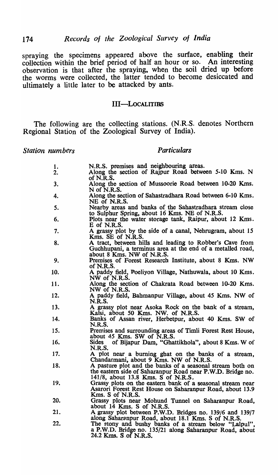spraying the specimens appeared above the surface, enabling their collection within the brief period of half an hour or so. An interesting observation is that after the spraying, when the soil dried up before the worms were collected, the latter tended to become desiccated and ultimately a little later to be attacked by ants.

## III-LOCALITIES

The following are the collecting stations. (N .R.S. denotes Northern Regional Station of the Zoological Survey of India).

**Station nu** 

| umbers   | <b>Particulars</b>                                                                                                                                                                              |
|----------|-------------------------------------------------------------------------------------------------------------------------------------------------------------------------------------------------|
| 1.<br>2. | N.R.S. premises and neighbouring areas.<br>Along the section of Rajpur Road between 5-10 Kms. N                                                                                                 |
| 3.       | of N.R.S.<br>Along the section of Mussoorie Road between 10-20 Kms.                                                                                                                             |
| 4.       | N of N.R.S.<br>Along the section of Sahastradhara Road between 6-10 Kms.                                                                                                                        |
| 5.       | NE of N.R.S.<br>Nearby areas and banks of the Sahastradhara stream close<br>to Sulphur Spring, about 16 Kms. NE of N.R.S.                                                                       |
| 6.       | Plots near the water storage tank, Raipur, about 12 Kms.<br>E of N.R.S.                                                                                                                         |
| 7.       | A grassy plot by the side of a canal, Nehrugram, about 15<br>Kms. SE of N.R.S.                                                                                                                  |
| 8.       | A tract, between hills and leading to Robber's Cave from<br>Guchhupani, a terminus area at the end of a metalled road,                                                                          |
| 9.       | about 8 Kms. NW of N.R.S.<br>Premises of Forest Research Institute, about 8 Kms. NW                                                                                                             |
| 10.      | of N.R.S.<br>A paddy field, Poeliyon Village, Nathuwala, about 10 Kms.<br>NW of N.R.S.                                                                                                          |
| 11.      | Along the section of Chakrata Road between 10-20 Kms.<br>NW of N.R.S.                                                                                                                           |
| 12.      | A paddy field, Bahmanpur Village, about 45 Kms. NW of<br><b>N.R.S.</b>                                                                                                                          |
| 13.      | A grassy plot near Asoka Rock on the bank of a stream,<br>Kalsi, about 50 Kms. NW. of N.R.S.                                                                                                    |
| 14.      | Banks of Assan river, Herbetpur, about 40 Kms. SW of<br><b>N.R.S.</b>                                                                                                                           |
| 15.      | Premises and surrounding areas of Timli Forest Rest House,<br>about 45 Kms. SW of N.R.S.                                                                                                        |
| 16.      | of Bijapur Dam, "Ghattikhola", about 8 Kms. W of<br><b>Sides</b><br>N.R.S.                                                                                                                      |
| 17.      | A plot near a burning ghat on the banks of a stream,<br>Chandarmani, about 9 Kms. NW of N.R.S.                                                                                                  |
| 18.      | A pasture plot and the banks of a seasonal stream both on<br>the eastern side of Saharanpur Road near P.W.D. Bridge no.<br>141/8, about 13.8 Kms. S of N.R.S.                                   |
| 19.      | Grassy plots on the eastern bank of a seasonal stream near<br>Asarori Forest Rest House on Saharanpur Road, about 13.9<br>Kms. S of N.R.S.                                                      |
| 20.      | Grassy plots near Mohund Tunnel on Saharanpur Road,<br>about 14 Kms. S of N.R.S.                                                                                                                |
| 21.      | A grassy plot between P.W.D. Bridges no. 139/6 and 139/7                                                                                                                                        |
| 22.      | along Saharanpur Road, about 18.1 Kms. S of N.R.S.<br>The stony and bushy banks of a stream below "Lalpul",<br>a P.W.D. Bridge no. 135/21 along Saharanpur Road, about<br>24.2 Kms. S of N.R.S. |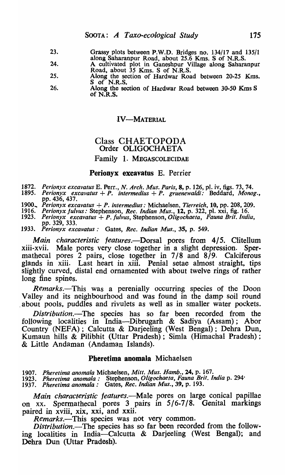- 23. Grassy plots between P.W.D. Bridges no. 134/17 and 135/1 along Saharanpur Road, about 25.6 Kms. S of N.R.S.
- 24. A cultivated plot in Ganeshpur Village along Saharanpur
- 25. Road, about 35 Kms. S of N.R.S.
- 26. Along the section of Hardwar Road between 20-25 Kms. S of N.R.S.
	- Atong the section of Hardwar Road between 30-50 Kms S of N.R.S.

#### IV-MATERIAL

# Class CHAETOPODA Order OLIGOCHAETA

# Family 1. MEGASCOLECIDAE

#### Perionyx excavatus E. Perrier

- *1872. Perionyx excavatus* E. Perr., *N. Arch. Mus. Paris,* 8, p. 126, pI. iv, figs. 73, 74.
- *1895. Perionyx excavatus* + *P. intermedius* + *P. gruenewaldi:* Beddard, *Monog.,*  pp. 436, 437.
- *1900 .. Perionyx excavatus* + *P. intermedius:* Michaelsen, *Tierreich,* 10, pp. 208, 209.
- *1916. Perionyx Julvus:* Stephenson, *Rec. Indian Mus.,* 12, p. 322, pI. xxi, fig. 16. *1923. Perionyx excavatus* + *P. fulvus, Stephenson,Oligochaeta, Fauna Brit. India,*
- pp. 329, 333.
- *1933. Perionyx excavatus:* Gates, *Rec. Indian Mus.,* 35, p. 549.

*Main characteristic features.-Dorsal* pores from 4/5. Clitellum xiii-xvii. Male pores very close together in a slight depression. Spermathecal pores 2 pairs, close together in 7/8 and 8/9. Calciferous glands in xiii. Last heart in xiii. Penial setae almost straight, tips slightly curved, distal end ornamented with about twelve rings of rather long fine spines.

*Remarks.*—This was a perenially occurring species of the Doon Valley and its neighbourhood and was found in the damp soil round about pools, puddles and rivulets as well as in smaller water pockets.

*Distribution.-The* species has so far been recorded from the following localities in India-Dibrugarh & Sadiya (Assam); Abor Country (NEFA); Calcutta & Darjeeling (West Bengal); Debra Dun, Kumaun hills & Pilibhit (Uttar Pradesh); Simla (Himachal Pradesh); & Little Andaman (Andaman Islands).

#### Pheretima anomala Michaelsen

*1907. Pheretima anomala* Michaelsen, *Mitt. Mus. Hamb.,* 24, p. 167.

*1923. Pheretima anomala:* Stephenson, *Oligochaeta, Fauna Brit. India* p. 294·

*1937. Pheretima anomala:* Gates, *Rec. Indian Mus.,* 39, p. 193.

*Main characteristic features.*—Male pores on large conical papillae on xx. Spermathecal pores 3 pairs in 5/6-7/8. Genital markings paired in xviii, xix, xxi, and xxii.

*Remarks.-This* species was not very common.

*Distribution.-The* species has so far been recorded from the following localities in India-Calcutta & Darjeeling (West Bengal); and Debra Dun (Uttar Pradesh).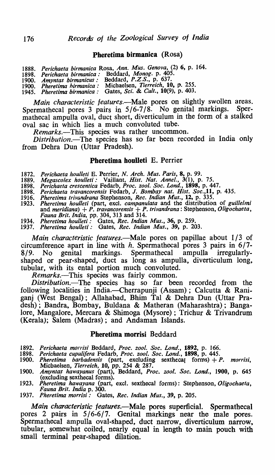# Pheretima birmanica (Rosa)

- *1888. Perichaeta birmanica* Rosa, *Ann. Mus. Genova,* (2) 6, p. 164.
- *1898. Perichaeta birmanica:* Beddard, *Monog.* p. 405.
- *1900. Amyntas birmanicus:* Beddard, *P.Z.S.,* p. 637.
- *1900. Pheretima hirmanica:* Michaelsen, *Tierreich,* 10, p. 255.
- *1945. Pherelima birmanica:* Gates, *Sci.* & *Cuit.,* 10(9), p. 403.

*Main characteristic features.*—Male pores on slightly swollen areas. Spermathecal pores 3 pairs in 5/6-7/8. No genital markings. Spermathecal ampulla oval, duct short, diverticulum in the form of a stalked oval sac in which lies a much convoluted tube.

*Remarks.-This* species was rather uncommon.

*Distribution.-The* species has so far been recorded in India only from Debra Dun (Uttar Pradesh).

#### Pheretima houlleti E. Perrier

- *1872. Perichaeta houl/eti* E. Perrier, *N. Arch. Mus. Paris,* 8, p. 99.
- 1889. *Megascolex houlleti:* Vaillant, *Hist. Nat. Annel.*, 3(1), p. 75.
- *1898. Perichaeta crescentica* Fedarb, *Proc. zool. Soc.* Lond., 1898, p. 447. *1898. Perichaeta travancorensis* Fedarb, J. *Bombay nat. Hist. Soc.,ll,* p. 435.
- 
- *1916. Pheretima trivandrana* Stephenson, *Rec. Indian Mus.,* 12, p. 335. 1923. *Pheretima houlleti* (part, excl. *campanulata* and the distribution of *guillelmi* and *meridiana*) + *P. travancorensis* + *P. trivandrana*: Stephenson, *Oligochaeta*, *Fauna Brit. India,* pp. 304, 313 and 314.
- *1934. Pheretima houl/eli:* Gates, *Rec. Indian Mus.,* 36, p. 259.
- *1937. Pheretima haul/eli:* Gates, *Rec. Indian Mus.,* 39, p. 203.

*Main characteristic features.*—Male pores on papillae about 1/3 of circumference apart in line with h. Spermathecal pores 3 pairs in  $6/7-8/9$ . No genital markings. Spermathecal ampulla irregularly-8/9. No genital markings. Spermathecal ampulla irregularlyshaped or pear-shaped, duct as long as ampulla, diverticulum long, tubular, with its ental portion much convoluted.

*Remarks.-This* species was fairly common.

*Distribution.-The* species has so far been recorded from the following localities in India.—Cherrapunji (Assam); Calcutta & Raniganj (West Bengal); Allahabad, Bhim Tal & Dehra Dun (Uttar Pradesh); Bandra, Bombay, Buldana & Matheran (Maharashtra); Bangalore, Mangalore, Mercara & Shimoga (Mysore) ; Trichur & Trivandrum (Kerala); Salem (Madras); and Andaman Islands.

#### Pheretima morrisi Beddard

- *1892. Perichaeta morrisi* Beddard, *Proc. zool. Soc.* Lond., 1892, p. 166.
- *1898. Perichaeta cupuli!era* Fedarb, *Proc. zool. Soc. Lond.,* 1898, p. 445.
- *1900. Pheretima barbadensis* (part, excluding sex the cal forms) + *P. morrisi,*  Michaelsen, *Tierreich,* 10, pp. 254 & 287.
- *1900. Amyntas hawayanus* (part), Beddard, *Proc. zool. Soc.* Lond., 1900, p. 645 (excluding sex thecal forms).
- *1923. Pheretima hawayana* (part, excl. sexthecaI forms): Stephenson, *Oligockaeta, Fauna Brit. India* p. 300.
- *1937. Pheretima morrisi:* Gates, *Rec. Indian Mus.,* 39, p. 205.

*Main characteristic features.*—Male pores superficial. Spermathecal pores 2 pairs in 5/6-6/7. Genital markings near the male pores. Spermathecal ampulla oval-shaped, duct narrow, diverticulum narrow, tubular, somewhat coiled, nearly equal in length to main pouch with small terminal pear-shaped dilation.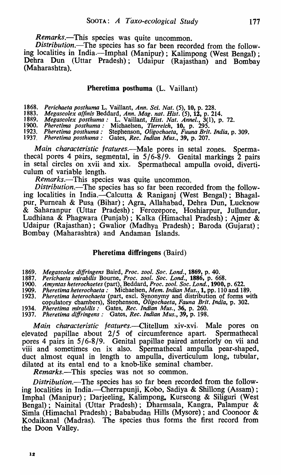*Remarks.-This* species was quite uncommon.

*Distribution.*-The species has so far been recorded from the following localities in India.-Imphal (Manipur); Kalimpong (West Bengal); Dehra Dun (Uttar Pradesh); Udaipur (Rajasthan) and Bombay (Maharashtra).

Pheretima posthuma (L. Vaillant)

1868. *Perichaeta posthuma* L. Vaillant, *Ann. Sci. Nat.* (5), 10, p. 228.

1883. *Megascolex affinis* Beddard, *Ann. Mag. nat. Hist.* (5), 12, p. 214.

1889. *Megasco/ex posthuma:* L. Vaillant, *Hisl. Nat. Annel.,* 3(1), p. 72.

*1900. Pheretima posthuma:* Michaelsen, *Tierreich,* 10, p. 295.

1923. *Pheretima posthuma:* Stephenson, *Oligo chaeta, Fuuna Brit. India,* p. 309. 1937. *Pheretima posthuma:* Gates, *Rec. Indian Mus.,* 39, p. 207.

*Main characteristic features.*—Male pores in setal zones. Spermathecal pores 4 pairs, segmental, in 5/6-8/9. Genital markings 2 pairs in setal circles on xvii and xix. Spermathecal ampulla ovoid, diverticulum of variable length.

*Remarks.*—This species was quite uncommon.

*Distribution.-The* species has so far been recorded from the following localities in India.-Calcutta & Raniganj (West Bengal); Bhagalpur, Pumeah & Pusa (Bihar); Agra, Allahabad, Debra Dun, Lucknow & Saharanpur (Uttar Pradesh); Ferozepore, Hoshiarpur, Jullundur, Ludhiana & Phagwara (Punjab) ; Kalka (Himachal Pradesh) ; Ajmer & Udaipur (Rajasthan); Gwalior (Madhya Pradesh); Baroda (Gujarat); Bombay (Maharashtra) and Andaman Islands.

#### Pheretima diffringens (Baird)

1869. *Megascolex diffringens* Baird, *Proc. zool. Sor.. Lond.,* 1869, p. 40.

1887. *Perichaeta mirabi/is* Bourne, *Proc. zoo* I. *Soc. Lond.,* 1886, p. 668.

*1900. Amyntas heterochaetes* (part), Beddard, *Proc. zool. Soc. Lond.,* 1900, p. 622.

*1909. Pheretima heterochaeta:* Michaelsen, *Mem. Indian Mus.,* 1, pp. 110 and 189.

*1923. Pheretima heterochaeta* (part, excl. Synonymy and distribution of forms with

copulatory chambers), Stephenson, *Oligochaeta, Fauna Brit. India,* p. 302.

1934. *Pheretima mirabilis:* Gates, *Rec. Indian Mus.,* 36, p. 260.

*1937. Pheretima dijfringens:* Gates, *Rec. Indian Mus.,* 39, p. 198.

*Main characteristic features.-Clitellum* xiv-xvi. Male pores on elevated papillae about 2/5 of circumference apart. Spermathecal pores 4 pairs in 5/6-8/9. Genital papillae paired anteriorly on vii and viii and sometimes on ix also. Spermathecal ampulla pear-shaped, duct almost equal in length to ampulla, diverticulum long, tubular, dilated at its ental end to a knob-like seminal chamber.

*Remarks.-This* species was not so common.

*Distribution.-The* species has so far been recorded from the following localities in India.—Cherrapunji, Kobo, Sadiya & Shillong (Assam); Imphal (Manipur); Darjeeling, Kalimpong. Kurseong & Siliguri (West Bengal); Nainital (Uttar Pradesh); Dharmsala, Kangra, Palampur & Simla (Himachal Pradesh) ; Bababudan Hills (Mysore) ; and Coonoor & Kodaikanal (Madras). The species thus forms the first record from the Doon Valley.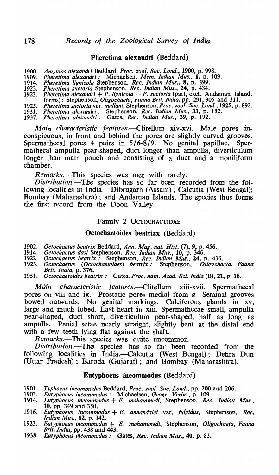#### Pheretima alexandri (Beddard)

| 1900. Amyntas alexandri Beddard, Proc. zool. Soc. Lond., 1900, p. 998. |  |  |  |
|------------------------------------------------------------------------|--|--|--|
|                                                                        |  |  |  |

- *1909. Pheretima alexandri:* Michaelsen, *Mem. Indian Mus.,* 1, p. 109.
- *1914. Pheretima lignieola* Stephenson, *Rec. Indian Mus.,* 8, p. 399.
- *1922. Pheretima suetoria* Stephenson, *Rec. Indian Mus.,* 24, p. 434. *1923. Pheretima alexandri* + *P. lignicola* + *P. suctoria* (part, excl. Andaman Island.
- 
- forms): Stephenson, *Oligochaeta, Fauna Brit. India.* pp. 291, 305 and 311. *1925. Pheretima suctoria* var. *mullani,* Stephenson, *Proc. zool. Soc. Lond.,* 1925, p. 893.
- *1931. Pheretima alexandri:* Stephenson, *Rec. Indian Mus.,* 33, p. 182.
- *1937. Pheretima alexandri:* Gates, *Rec. Indian Mus.,* 39, p. 192.

*Main characteristic features.*—Clitellum xiv-xvi. Male pores inconspicuous, in front and behind the pores are slightly curved grooves. Spermathecal pores 4 pairs in  $5/6-8/9$ . No genital papillae. Spermathecal ampulla pear-shaped, duct longer than ampulla, diverticulum longer than main pouch and consisting of a duct and a moniliform chamber.

*Remarks.-This* species was met with rarely.

*Distribution.-Tbe* species has so far been recorded from the following localities in India.—Dibrugarh (Assam); Calcutta (West Bengal); Bombay (Maharashtra) ; and Andaman Islands. The species thus forms the first record from the Doon Valley.

#### Family 2 OCTOCHACTIDAE

#### Octocbaetoides beatrizx (Beddard)

- *1902. Octochaetus beatrix* Beddard, *Ann. Mag. nat. Hist.* (7), 9, p. 456.
- *'1914. Octochaetus dasi* Stephenson, *Rec. Indian Mus.,* 10, p. 346.
- *1922. Octochaetus beatrix:* Stephenson, *Rec. Indian Mus.,* 24, p. 436.
- *1923. Octochaetus (Octochaetoides) beatrix:* Stephenson, *Oligochaefa, Fauna Brit. India,* p. 376.
- *1951. Octochaetoides beatrix:* Gates, *Proc. natn. Acad. Sci. India* (B), 21, p. 18.

*Main characteristic features.*—Clitellum xiii-xvii. Spermathecal pores on viii and ix. Prostatic pores medial from *a.* Seminal grooves bowed outwards. No genital markings. Calciferous glands in xv, large and much lobed. Last heart in xiii. Spermathecae small, ampulla pear-shaped, duct short, diverticulum pear-shaped, half as long as ampulla. Penial setae nearly straight, slightly bent at the distal end with a few teeth lying flat against the shaft.

*Remarks.-This* species was quite uncommon.

Distribution.—The species has so far been recorded from the following localities in India.--Calcutta (West Bengal); Dehra Dun (Uttar Pradesh); Baroda (Gujarat); and Bombay (Maharashtra).

# Eutyphoeus incommodus (Beddard)

- *1901. Typhoeus incommodus* Beddard, *Proc. zool. Soc. Lond.,* pp. 200 and 206.
- *1903. Eutyphoeus incommodus:* Michaelsen, *Geogr. Verbr.,* p. 109. *1914. Eutyphoeus incommodus* + *E. mohammedi,* Stephenson, *Rec. Indian Mus.,*
- 10, pp. 349 and 350. *1916. Eutyphoeus incommodus* + *E. annandalei* var. *{ulgidus,* Stephenson, *Rec.*
- *Indian Mus.,* 12, p. 342.
- *1923. Eutyphoeus incommodus* + *E. mohammedi,* Stephenson, *Oligochaeta, Fauna Brit. India,* pp. 438 and 443.
- *1938. Eutyphoeus incommodus:* Gates, *Rec. Indian Mus.,* 40, p. 83.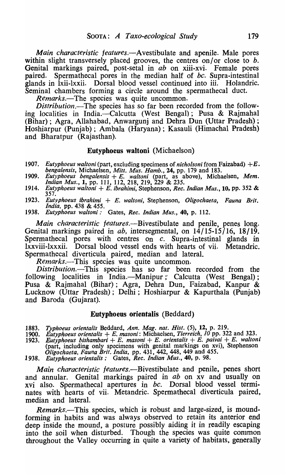*Main characteristic jeatures.-Avestibulate* and apenile. Male pores within slight transversely placed grooves, the centres on/or close to *b*. Genital markings paired, post-setal in *ab* on xiii-xvi. Female pores paired. Spermathecal pores in the median half of *bc*. Supra-intestinal glands in lxii-Ixxii. Dorsal blood vessel continued into iii. Holandric. Seminal chambers forming a circle around the spermathecal duct.

*Remarks.-The* species was quite uncommon.

*Distribution.-The* species has so far been recorded from the following localities in India.—Calcutta (West Bengal); Pusa & Rajmahal (Bihar) ; Agra, Allahabad, Anwargunj and Dehra Dun (Uttar Pradesh) ; Hoshiarpur (Punjab); Ambala (Haryana); Kasauli (Himachal Pradesh) and Bharatpur (Rajasthan).

#### Eutyphoeus waltoni (Michaelson)

- 1907. *Eutyphoeus waltoni* (part, excluding specimens of *nicholsoni* from Faizabad)  $+E$ . bengalensis, Michaelsen, Mitt. Mus. Hamb., 24, pp. 179 and 183.
- 1909. *Eutyphoeus bengalensis* + *E. walton;* (part, as above), Michaelsen, *Mem. Indian Mus.,* 1, pp. 111, 112, 218, 219, 229 & 235. *Eutyphoeus waltoni* + E. *ibrahimi,* Stephenson, *Rec. Indian Mus.,* 10, pp. 352 &
- 1914. 357.
- 1923. *Eutyphoeus ibrahimi* + *E. waltoni,* Stephenson, *Oligochaeta, Fauna Brit. India,* pp. 438 & 455.
- 1938. *Eutyphoeus waltoni:* Gates, *Rec. Indian Mus.,* 40, p. 112.

*Main characteristic features.-Bivestibulate* and penile, penes long. Genital markings paired in *ab*, intersegmental, on 14/15-15/16, 18/19. Spermathecal pores with centres on *c*. Supra-intestinal glands in lxxviii-Ixxxii. Dorsal blood vessel ends with hearts of vii. Metandric. Spermathecal diverticula paired, median and lateral.

*Remarks.-This* species was quite uncommon.

*Distribution.-This* species has so far been recorded from the following localities in India.—Manipur; Calcutta (West Bengal); Pusa & Rajmahal (Bihar); Agra, Dehra Dun, Faizabad, Kanpur & Lucknow (Uttar Pradesh); Delhi; Hoshiarpur & Kapurthala (Punjab) and Baroda (Gujarat).

#### Eutyphoeus orientalis (Beddard)

- *1883. Typhoeus orienta/is* Beddard, *Ann. Mag. nat. Hist.* (5), 12, p. 219. *1900. Eutyphoeus orientalis* + *E. mason;:* Michaelsen, *Tierreich, 10* pp. 322 and 323.
- *1923. Eutyphoeus hishambari* + *E. masoni* + *E. orienta/is* + *E. paivai* + *E. waltoni*
- (part, including only specimens with genital markings on xvi), Stephenson *Oligochaeta, Fauna Brit. India,* pp. 431, 442, 448, 449 and 455.
- *1938. Eutyphoeus orientalis:* Gates, *Rec. Indian Mus.,* 40, p. 98.

*Main characteristic features.-Bivestibulate* and penile, penes short and annular. Genital markings paired in *ab* on xv and usually on xvi also. SpermathecaI apertures in *bc.* Dorsal blood vessel terminates with hearts of vii. Metandric. Spermathecal diverticula paired, median and lateral.

*Remarks.-This* species, which is robust and large-sized, is moundforming in habits and was always observed to retain its anterior end deep inside the mound, a posture possibly aiding it in readily escaping into the soil when disturbed. Though the species was quite common throughout the Valley occurring in quite a variety of habitats, generally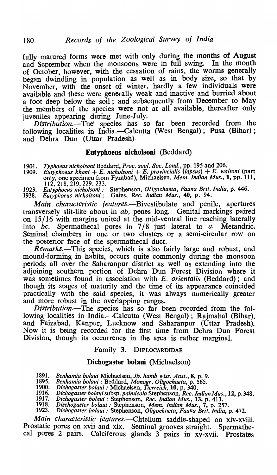fully matured forms were met with only during the months of August and September when the monsoons were in full swing. In the month of October, however, with the cessation of rains, the worms generally began dwindling in population as well as in body size, so that by November, with the onset of winter, hardly a few individuals were available and these were generally weak and inactive and burried about a foot deep below the soil; and subsequently from December to May the members of the species were not at all available, thereafter only juveniles appearing during June-July.

*Distribution.-Thel* species has so far been recorded from the following localities in India.—Calcutta (West Bengal); Pusa (Bihar); and Dehra Dun (Uttar Pradesh).

# Eutypboeus nicholsoni (Beddard)

*1901. Typhoeus nicholsoni* Beddard, *Proc. zool. Soc. Lond.,* pp. 195 and 206. 1909. *Eutyphoeus khan;* + *E. nicholson;* + *E. provincialis (lapsus)* + *E. waltoni* (part only, one specimen from Fyzabad), Michaelsen, *Mem. Indian Mus.,* 1, pp. 111, 112, 218, 219, 229, 233.

1923. *Eutyphoeus nicholson;:* Stephenson, *Oligochaeta, Fauna Brit. India,* p. 446.

1938. *Eutyphoeus nicholson;:* Gates, *Rec. Indian Mus.,* 40, p.- 94.

*Main characteristic features.-Bivestibulate* and penile, apertures transversely slit-like about in *ab,* penes long. Genital markings paired on 15/16 with margins united at the mid-ventral line reaching laterally into *bc.* Spermathecal pores in 7/8 just lateral to *a.* Metandric. Seminal chambers in one or two clusters or a semi-circular row on the posterior face of the spermathecal duct.

*Remarks.*—This species, which is also fairly large and robust, and mound-forming in habits, occurs quite commonly during the monsoon periods all over the Saharanpur district as well as extending into the adjoining southern portion of Dehra Dun Forest Division where it was sometimes found in association with *E. orientalis* (Beddard); and though its stages of maturity and the time of its appearance coincided practically with tbe said species, it was always numerically greater and more robust in the overlapping ranges.

*Distribution.-The* species has so far been recorded from the following localities in India.—Calcutta (West Bengal); Rajmahal (Bihar), and Faizabad, Kanpur, Lucknow and Saharanpur (Uttar Pradesh). Now it is being recorded for the first time from Debra Dun Forest Division, though its occurrence in the area is rather marginal.

#### Family 3. DIPLOCARDIDAE

## Dichogaster bolaui (Michaelson)

1891. *Benhamia bolaui* Michaelsen, *Jb. hamb wiss. Anst.,* 8, p. 9.

- 1895. *Benhamia bolaui* : Beddard, *Monogr. Oligochaeta,* p. 565.
- 1900. *Dichogaster bolaui* : Michaelsen, *Tierreich,* 10, p. 340.
- 1916. *Dichogasterbolauisubsp.palmicola* Stephenson, *Rec. Indian Mus.,* 12, p.348.
- 1917. *Dichogaster bolaui* : Stephenson, *Rec. Indian Mus.,* 13, p. 413.
- 1918. *Dischogaster bolaui:* Stephenson, *Mem. Indian Mus.,* 7, p. 257. 1923. *Dichogaster bolaui* : Stephenson, *Oligochaeta, Fauna Brit. India,* p. 472.

*Main characteristic features.-Clitellum* saddle-shaped on xiv-xviii. Prostatic pores on xvii and xix. Seminal grooves straight. Spermathecal pores 2 pairs. Calciferous glands 3 pairs in xv-xvii. Prostates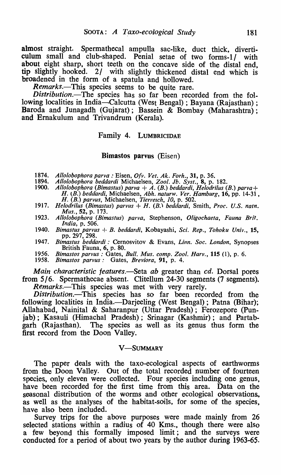almost straight. Spermathecal ampulla sac-like, duct thick, diverticulum small and club-shaped. Penial setae of two forms-1/ with about eight sharp, short teeth on the concave side of the distal end, tip slightly hooked. *21* with slightly thickened distal end which is broadened in the form of a spatula and hollowed.

*Remarks.-This* species seems to be quite rare.

*Distribution.-The* species has so far been recorded from the following localities in India—Calcutta (West Bengal) ; Bayana (Rajasthan) ; Baroda and Junagadh (Gujarat); Bassein & Bombay (Maharashtra); and Emakulum and Trivandrum (Kerala).

# Family 4. LUMBRICIDAE

#### Bimastos parvus (Eisen)

- 1874. *Allolobophora parva* : Eisen, *O{v. Vet. Ak. Forh.,* 31, p. 36.
- 
- 1894. *Allolobophora beddardi* Michaelsen, *Zool. Jb. Syst.,* 8, p. 182. 1900. *Allolobophora (Bimastus) parva* + A. *(B.) beddardi, Helodrilus (B.) par va* + *H. {B.) beddardi,* Michaelsen, *Abh. naturw. Ver. Hamburg,* 16, pp. 14-31 , *H. (B.) parvus,* Michaelsen, *Tierreich, 10,* p. 502.
- 1917. *Helodrilus (Bimastus) parvus* + H. (B.) *beddardi,* Smith, *Proc. U.S. natn. Mus.,* 52, p. 173.
- 1923. *Allolobophora (Bimastus) parva,* Stephenson, *Oligochaeta, Fauna Brit. India,* p. 506.
- 1940. *Bimastus parvus* + *B. beddardi*, Kobayashi, *Sci. Rep., Tohoku Univ.*, 15, pp. 297, 298.
- 1947. *Bimastus beddardi* : Cernosvitov & Evans, *Linn. Soc. London,* Synopses British Fauna, 6, p. 80.
- 1956. *Bimastos parvus*: Gates, *Bull. Mus. comp. Zool. Harv.*, 115 (1), p. 6.<br>1958. *Bimastos parvus:* Gates, *Breviora*, 91, p. 4.

1958. *Bimastos parvus,'* Gates, *Breviora,* 91, p. 4.

*Main characteristic features.*—Seta *ab* greater than *cd*. Dorsal pores from *5/6.* Spermathecae absent. Clitellum 24-30 segments (7 segments). *Remarks.-This* species was met with very rarely.

*Distribution.-This* species has so far been recorded from the following localities in India.—Darjeeling (West Bengal); Patna (Bihar); Allahabad, Nainital & Saharanpur (Uttar Pradesh); Ferozepore (Punjab); Kasauli (Himachal Pradesh); Srinagar (Kashmir); and Partab-<br>garh (Rajasthan). The species as well as its genus thus form the The species as well as its genus thus form the first record from the Doon Valley.

#### **V-SUMMARY**

The paper deals with the taxo-ecological aspects of earthworms from the Doon Valley. Out of the total recorded number of fourteen species, only eleven were collected. Four species including one genus, have been recorded for the first time from this area. Data on the seasonal distribution of the worms and other ecological observations, as well as the analyses of the habitat-soils, for some of the species, have also been included.

Survey trips for the above purposes were made mainly from 26 selected stations within a radius of 40 Kms., though there were also a few beyond this formally imposed limit; and the surveys were conducted for a period of about two years by the author during 1963-65.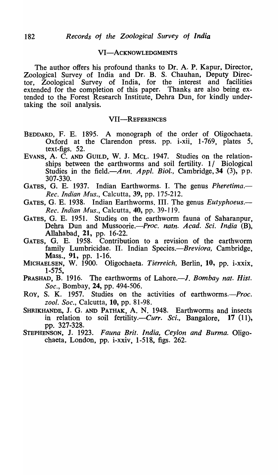#### VI-ACKNOWLEDGMENTS

The author offers his profound thanks to Dr. A. P. Kapur, Director, Zoological Survey of India and Dr. B. S. Chauhan, Deputy Director, Zoological Survey of India, for the interest and facilities extended for the completion of this paper. Thanks are also being extended to the Forest Research Institute, Debra Dun, for kindly undertaking the soil analysis.

#### VII-REFERENCES

- BEDDARD, F. E. 1895. A monograph of the order of Oligochaeta. Oxford at the Clarendon press. pp. i-xii, 1-769, plates 5, text-figs. 52.
- EVANS, A. C. AND GUILD, W. J. MCL. 1947. Studies on the relationships between the earthworms and soil fertility. 1/ Biological Studies in the field.-*Ann. Appl. Biol.*, Cambridge, 34 (3), pp. 307-330.
- GATES, G. E. 1937. Indian Earthworms. I. The genus *Pheretima*.— *Rec. Indian Mus.)* Calcutta, 39, pp. 175-212.
- GATES, G. E. 1938. Indian Earthworms. III. The genus *Eutyphoeus. Rec. Indian Mus.,* Calcutta, 40, pp. 39-119.
- GATES, G. E. 1951. Studies on the earthworm fauna of Saharanpur, Dehra Dun and Mussoorie.—*Proc. natn. Acad. Sci. India* (B), Allahabad, 21, pp. 16-22.
- GATES, G. E. 1958. Contribution to a revision of the earthworm family Lumbricidae. II. Indian Species.-*Breviora*, Cambridge, Mass., 91, pp. 1-16.
- MICHAELSEN, W. 1900. Oligochaeta. *Tierreich,* Berlin, 10, pp. i-xxix,  $1 - 575$ .
- PRASHAD, B. 1916. The earthworms of Lahore.—*J. Bombay nat. Hist. Soc.,* Bombay, 24, pp. 494-506.
- Roy, S. K. 1957. Studies on the activities of earthworms.—*Proc. zool. Soc.,* Calcutta, 10, pp. 81-98.
- SHRIKHANDB, J. G. AND PATHAK, A. N. 1948. Earthworms and insects in relation to soil fertility.—*Curr. Sci.*, Bangalore, 17 (11), pp. 327-328.
- STEPHENSON, J. 1923. *Fauna Brit. India, Ceylon and Burma.* Oligochaeta, London, pp. i-xxiv, 1-518, figs. 262.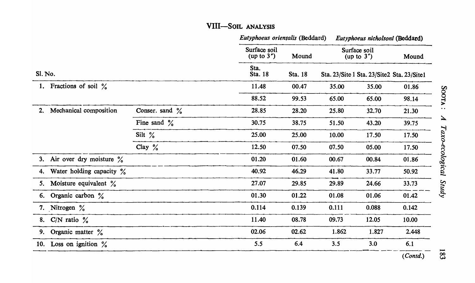# VIII-SOIL ANALYSIS

|                           |                                |                               |                  | Eutyphoeus orientalis (Beddard)              |                               |       | Eutyphoeus nicholsoni (Beddard) |  |  |
|---------------------------|--------------------------------|-------------------------------|------------------|----------------------------------------------|-------------------------------|-------|---------------------------------|--|--|
| Sl. No.                   |                                | Surface soil<br>(up to $3'$ ) | Mound<br>Sta. 18 |                                              | Surface soil<br>(up to $3'$ ) |       |                                 |  |  |
|                           |                                | Sta.<br>Sta. 18               |                  | Sta. 23/Site 1 Sta. 23/Site 2 Sta. 23/Site 1 |                               |       |                                 |  |  |
|                           | 1. Fractions of soil $\%$      |                               | 11.48            | 00.47                                        | 35.00                         | 35.00 | 01.86                           |  |  |
|                           |                                |                               | 88.52            | 99.53                                        | 65.00                         | 65.00 | 98.14                           |  |  |
| 2.                        | Mechanical composition         | Conser. sand $\frac{9}{6}$    | 28.85            | 28.20                                        | 25.80                         | 32.70 | 21.30                           |  |  |
|                           |                                | Fine sand $\%$                | 30.75            | 38.75                                        | 51.50                         | 43.20 | 39.75                           |  |  |
|                           |                                | Silt $\frac{9}{6}$            | 25.00            | 25.00                                        | 10.00                         | 17.50 | 17.50                           |  |  |
|                           |                                | Clay $\%$                     | 12.50            | 07.50                                        | 07.50                         | 05.00 | 17.50                           |  |  |
|                           | 3. Air over dry moisture $\%$  |                               | 01.20            | 01.60                                        | 00.67                         | 00.84 | 01.86                           |  |  |
|                           | 4. Water holding capacity $\%$ |                               | 40.92            | 46.29                                        | 41.80                         | 33.77 | 50.92                           |  |  |
|                           | 5. Moisture equivalent %       |                               | 27.07            | 29.85                                        | 29.89                         | 24.66 | 33.73                           |  |  |
| 6. Organic carbon $\%$    |                                |                               | 01.30            | 01.22                                        | 01.08                         | 01.06 | 01.42                           |  |  |
| 7. Nitrogen $\frac{9}{6}$ |                                |                               | 0.114            | 0.139                                        | 0.111                         | 0.088 | 0.142                           |  |  |
| 8. C/N ratio $\%$         |                                |                               | 11.40            | 08.78                                        | 09.73                         | 12.05 | 10.00                           |  |  |
| 9. Organic matter $\%$    |                                |                               | 02.06            | 02.62                                        | 1.862                         | 1.827 | 2.448                           |  |  |
| 10. Loss on ignition $\%$ |                                |                               | 5.5              | 6.4                                          | 3.5                           | 3.0   | 6.1                             |  |  |
|                           |                                |                               |                  |                                              |                               |       | (Contd.)                        |  |  |